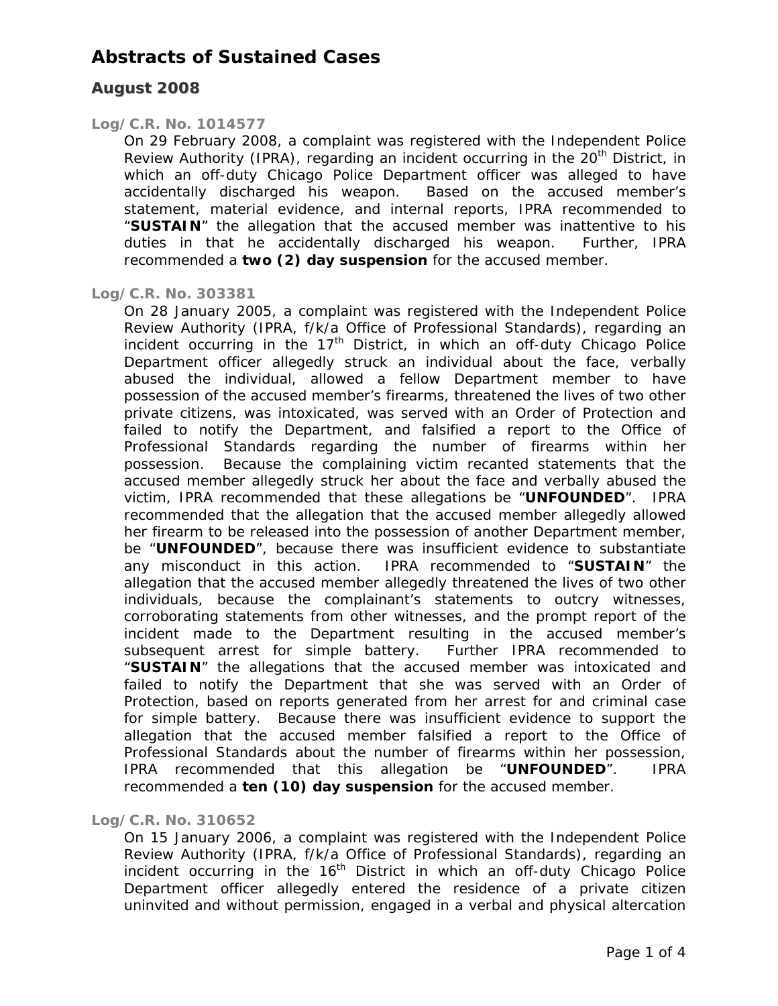### **August 2008**

#### *Log/C.R. No. 1014577*

On 29 February 2008, a complaint was registered with the Independent Police Review Authority (IPRA), regarding an incident occurring in the 20<sup>th</sup> District, in which an off-duty Chicago Police Department officer was alleged to have accidentally discharged his weapon. Based on the accused member's statement, material evidence, and internal reports, IPRA recommended to "**SUSTAIN**" the allegation that the accused member was inattentive to his duties in that he accidentally discharged his weapon. Further, IPRA recommended a **two (2) day suspension** for the accused member.

#### *Log/C.R. No. 303381*

On 28 January 2005, a complaint was registered with the Independent Police Review Authority (IPRA, f/k/a Office of Professional Standards), regarding an incident occurring in the  $17<sup>th</sup>$  District, in which an off-duty Chicago Police Department officer allegedly struck an individual about the face, verbally abused the individual, allowed a fellow Department member to have possession of the accused member's firearms, threatened the lives of two other private citizens, was intoxicated, was served with an Order of Protection and failed to notify the Department, and falsified a report to the Office of Professional Standards regarding the number of firearms within her possession. Because the complaining victim recanted statements that the accused member allegedly struck her about the face and verbally abused the victim, IPRA recommended that these allegations be "**UNFOUNDED**". IPRA recommended that the allegation that the accused member allegedly allowed her firearm to be released into the possession of another Department member, be "**UNFOUNDED**", because there was insufficient evidence to substantiate any misconduct in this action. IPRA recommended to "**SUSTAIN**" the allegation that the accused member allegedly threatened the lives of two other individuals, because the complainant's statements to outcry witnesses, corroborating statements from other witnesses, and the prompt report of the incident made to the Department resulting in the accused member's subsequent arrest for simple battery. Further IPRA recommended to "**SUSTAIN**" the allegations that the accused member was intoxicated and failed to notify the Department that she was served with an Order of Protection, based on reports generated from her arrest for and criminal case for simple battery. Because there was insufficient evidence to support the allegation that the accused member falsified a report to the Office of Professional Standards about the number of firearms within her possession, IPRA recommended that this allegation be "**UNFOUNDED**". IPRA recommended a **ten (10) day suspension** for the accused member.

#### *Log/C.R. No. 310652*

On 15 January 2006, a complaint was registered with the Independent Police Review Authority (IPRA, f/k/a Office of Professional Standards), regarding an incident occurring in the 16<sup>th</sup> District in which an off-duty Chicago Police Department officer allegedly entered the residence of a private citizen uninvited and without permission, engaged in a verbal and physical altercation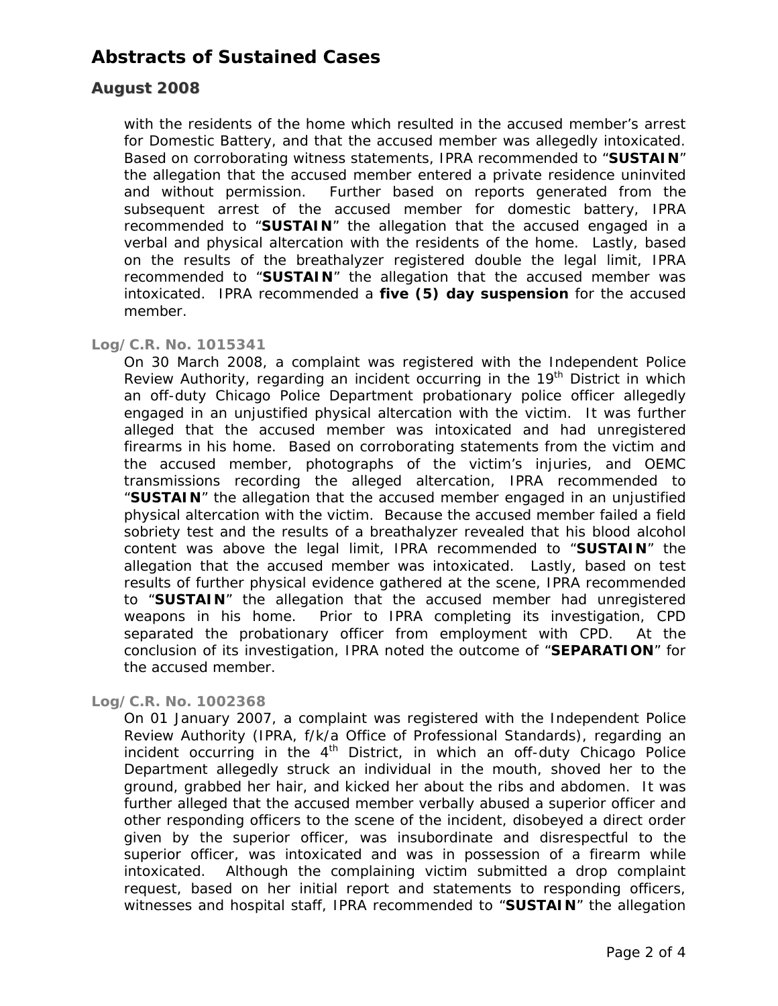### **August 2008**

with the residents of the home which resulted in the accused member's arrest for Domestic Battery, and that the accused member was allegedly intoxicated. Based on corroborating witness statements, IPRA recommended to "**SUSTAIN**" the allegation that the accused member entered a private residence uninvited and without permission. Further based on reports generated from the subsequent arrest of the accused member for domestic battery, IPRA recommended to "**SUSTAIN**" the allegation that the accused engaged in a verbal and physical altercation with the residents of the home. Lastly, based on the results of the breathalyzer registered double the legal limit, IPRA recommended to "**SUSTAIN**" the allegation that the accused member was intoxicated. IPRA recommended a **five (5) day suspension** for the accused member.

#### *Log/C.R. No. 1015341*

On 30 March 2008, a complaint was registered with the Independent Police Review Authority, regarding an incident occurring in the  $19<sup>th</sup>$  District in which an off-duty Chicago Police Department probationary police officer allegedly engaged in an unjustified physical altercation with the victim. It was further alleged that the accused member was intoxicated and had unregistered firearms in his home. Based on corroborating statements from the victim and the accused member, photographs of the victim's injuries, and OEMC transmissions recording the alleged altercation, IPRA recommended to "**SUSTAIN**" the allegation that the accused member engaged in an unjustified physical altercation with the victim. Because the accused member failed a field sobriety test and the results of a breathalyzer revealed that his blood alcohol content was above the legal limit, IPRA recommended to "**SUSTAIN**" the allegation that the accused member was intoxicated. Lastly, based on test results of further physical evidence gathered at the scene, IPRA recommended to "**SUSTAIN**" the allegation that the accused member had unregistered weapons in his home. Prior to IPRA completing its investigation, CPD separated the probationary officer from employment with CPD. At the conclusion of its investigation, IPRA noted the outcome of "**SEPARATION**" for the accused member.

#### *Log/C.R. No. 1002368*

On 01 January 2007, a complaint was registered with the Independent Police Review Authority (IPRA, f/k/a Office of Professional Standards), regarding an incident occurring in the  $4<sup>th</sup>$  District, in which an off-duty Chicago Police Department allegedly struck an individual in the mouth, shoved her to the ground, grabbed her hair, and kicked her about the ribs and abdomen. It was further alleged that the accused member verbally abused a superior officer and other responding officers to the scene of the incident, disobeyed a direct order given by the superior officer, was insubordinate and disrespectful to the superior officer, was intoxicated and was in possession of a firearm while intoxicated. Although the complaining victim submitted a drop complaint request, based on her initial report and statements to responding officers, witnesses and hospital staff, IPRA recommended to "**SUSTAIN**" the allegation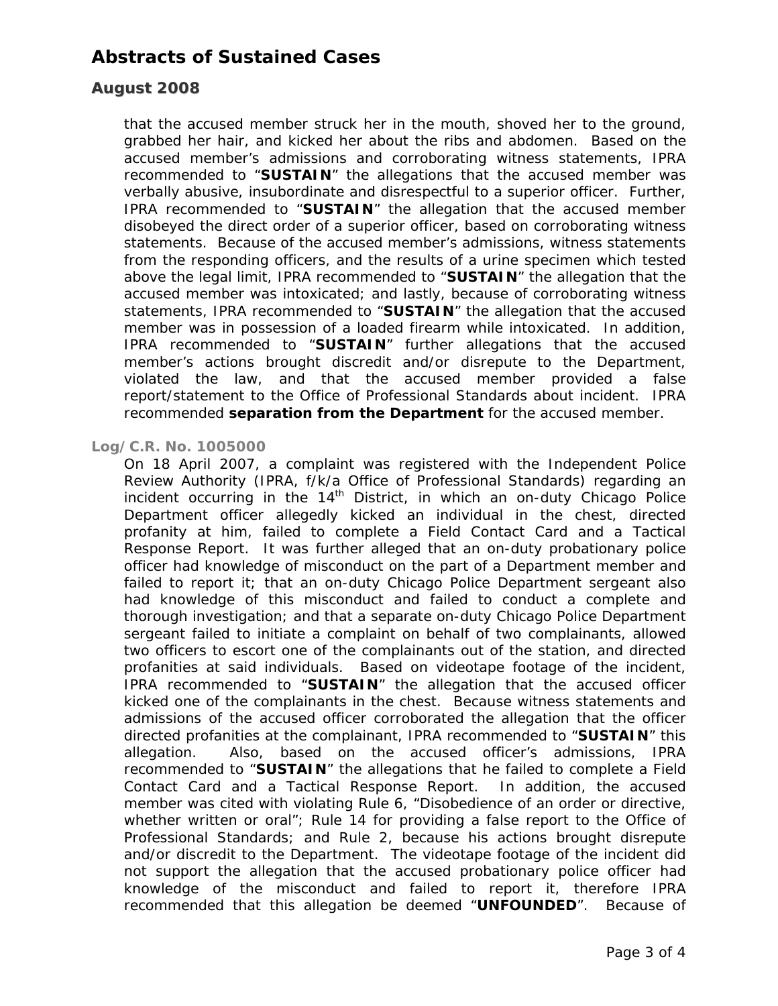### **August 2008**

that the accused member struck her in the mouth, shoved her to the ground, grabbed her hair, and kicked her about the ribs and abdomen. Based on the accused member's admissions and corroborating witness statements, IPRA recommended to "**SUSTAIN**" the allegations that the accused member was verbally abusive, insubordinate and disrespectful to a superior officer. Further, IPRA recommended to "**SUSTAIN**" the allegation that the accused member disobeyed the direct order of a superior officer, based on corroborating witness statements. Because of the accused member's admissions, witness statements from the responding officers, and the results of a urine specimen which tested above the legal limit, IPRA recommended to "**SUSTAIN**" the allegation that the accused member was intoxicated; and lastly, because of corroborating witness statements, IPRA recommended to "**SUSTAIN**" the allegation that the accused member was in possession of a loaded firearm while intoxicated. In addition, IPRA recommended to "**SUSTAIN**" further allegations that the accused member's actions brought discredit and/or disrepute to the Department, violated the law, and that the accused member provided a false report/statement to the Office of Professional Standards about incident. IPRA recommended **separation from the Department** for the accused member.

#### *Log/C.R. No. 1005000*

On 18 April 2007, a complaint was registered with the Independent Police Review Authority (IPRA, f/k/a Office of Professional Standards) regarding an incident occurring in the  $14<sup>th</sup>$  District, in which an on-duty Chicago Police Department officer allegedly kicked an individual in the chest, directed profanity at him, failed to complete a Field Contact Card and a Tactical Response Report. It was further alleged that an on-duty probationary police officer had knowledge of misconduct on the part of a Department member and failed to report it; that an on-duty Chicago Police Department sergeant also had knowledge of this misconduct and failed to conduct a complete and thorough investigation; and that a separate on-duty Chicago Police Department sergeant failed to initiate a complaint on behalf of two complainants, allowed two officers to escort one of the complainants out of the station, and directed profanities at said individuals. Based on videotape footage of the incident, IPRA recommended to "**SUSTAIN**" the allegation that the accused officer kicked one of the complainants in the chest. Because witness statements and admissions of the accused officer corroborated the allegation that the officer directed profanities at the complainant, IPRA recommended to "**SUSTAIN**" this allegation. Also, based on the accused officer's admissions, IPRA recommended to "**SUSTAIN**" the allegations that he failed to complete a Field Contact Card and a Tactical Response Report. In addition, the accused member was cited with violating Rule 6, "Disobedience of an order or directive, whether written or oral"; Rule 14 for providing a false report to the Office of Professional Standards; and Rule 2, because his actions brought disrepute and/or discredit to the Department. The videotape footage of the incident did not support the allegation that the accused probationary police officer had knowledge of the misconduct and failed to report it, therefore IPRA recommended that this allegation be deemed "**UNFOUNDED**". Because of